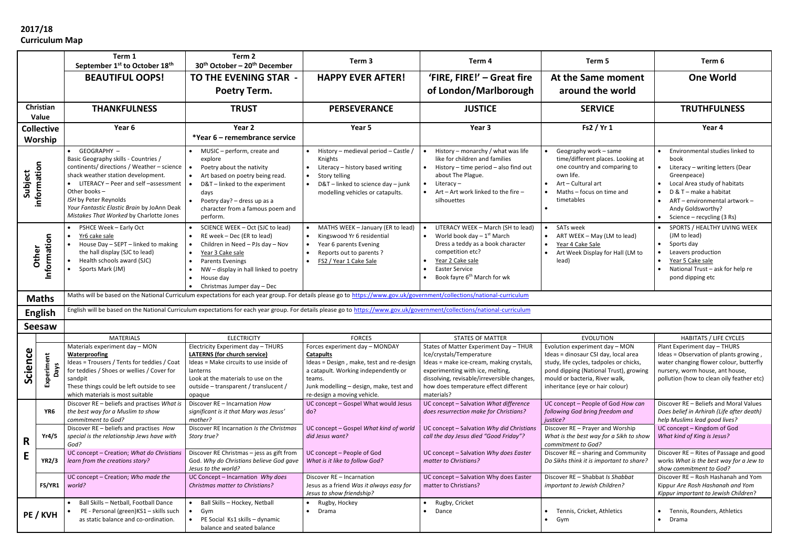## **2017/18 Curriculum Map**

|                              |                           | Term 1<br>September 1st to October 18th                                                                                                                                                                                                                                                                                | Term 2<br>30 <sup>th</sup> October - 20 <sup>th</sup> December                                                                                                                                                                                                               | Term <sub>3</sub>                                                                                                                                                                        | Term 4                                                                                                                                                                                                                         | Term 5                                                                                                                                                                                          | Term 6                                                                                                                                                                                                                                   |
|------------------------------|---------------------------|------------------------------------------------------------------------------------------------------------------------------------------------------------------------------------------------------------------------------------------------------------------------------------------------------------------------|------------------------------------------------------------------------------------------------------------------------------------------------------------------------------------------------------------------------------------------------------------------------------|------------------------------------------------------------------------------------------------------------------------------------------------------------------------------------------|--------------------------------------------------------------------------------------------------------------------------------------------------------------------------------------------------------------------------------|-------------------------------------------------------------------------------------------------------------------------------------------------------------------------------------------------|------------------------------------------------------------------------------------------------------------------------------------------------------------------------------------------------------------------------------------------|
|                              |                           | <b>BEAUTIFUL OOPS!</b>                                                                                                                                                                                                                                                                                                 | <b>TO THE EVENING STAR -</b>                                                                                                                                                                                                                                                 | <b>HAPPY EVER AFTER!</b>                                                                                                                                                                 | 'FIRE, FIRE!' - Great fire                                                                                                                                                                                                     | At the Same moment                                                                                                                                                                              | <b>One World</b>                                                                                                                                                                                                                         |
|                              |                           |                                                                                                                                                                                                                                                                                                                        | <b>Poetry Term.</b>                                                                                                                                                                                                                                                          |                                                                                                                                                                                          | of London/Marlborough                                                                                                                                                                                                          | around the world                                                                                                                                                                                |                                                                                                                                                                                                                                          |
| Christian<br>Value           |                           | <b>THANKFULNESS</b>                                                                                                                                                                                                                                                                                                    | <b>TRUST</b>                                                                                                                                                                                                                                                                 | <b>PERSEVERANCE</b>                                                                                                                                                                      | <b>JUSTICE</b>                                                                                                                                                                                                                 | <b>SERVICE</b>                                                                                                                                                                                  | <b>TRUTHFULNESS</b>                                                                                                                                                                                                                      |
| <b>Collective</b><br>Worship |                           | Year 6                                                                                                                                                                                                                                                                                                                 | Year 2<br>*Year 6 – remembrance service                                                                                                                                                                                                                                      | Year 5                                                                                                                                                                                   | Year 3                                                                                                                                                                                                                         | Fs2 / Yr 1                                                                                                                                                                                      | Year 4                                                                                                                                                                                                                                   |
| information<br>Subject       |                           | • GEOGRAPHY -<br>Basic Geography skills - Countries /<br>continents/ directions / Weather - science<br>shack weather station development.<br>• LITERACY - Peer and self -assessment<br>Other books -<br>ISH by Peter Reynolds<br>Your Fantastic Elastic Brain by JoAnn Deak<br>Mistakes That Worked by Charlotte Jones | • MUSIC - perform, create and<br>explore<br>Poetry about the nativity<br>$\bullet$<br>Art based on poetry being read.<br>D&T-linked to the experiment<br>days<br>Poetry day? - dress up as a<br>$\bullet$<br>character from a famous poem and<br>perform.                    | • History - medieval period - Castle /<br>Knights<br>Literacy - history based writing<br>Story telling<br>D&T-linked to science day-junk<br>modelling vehicles or catapults.             | History - monarchy / what was life<br>like for children and families<br>$\bullet$ History – time period – also find out<br>about The Plague.<br>Literacy –<br>$\bullet$<br>Art - Art work linked to the fire -<br>silhouettes  | Geography work - same<br>time/different places. Looking at<br>one country and comparing to<br>own life.<br>Art – Cultural art<br>Maths – focus on time and<br>timetables                        | Environmental studies linked to<br>book<br>Literacy - writing letters (Dear<br>Greenpeace)<br>Local Area study of habitats<br>D & T - make a habitat<br>ART - environmental artwork -<br>Andy Goldsworthy?<br>Science – recycling (3 Rs) |
| Information<br>Other         |                           | PSHCE Week - Early Oct<br>$\bullet$<br>Yr6 cake sale<br>House Day - SEPT - linked to making<br>the hall display (SJC to lead)<br>Health schools award (SJC)<br>Sports Mark (JM)                                                                                                                                        | SCIENCE WEEK - Oct (SJC to lead)<br>RE week - Dec (ER to lead)<br>Children in Need - PJs day - Nov<br>Year 3 Cake sale<br><b>Parents Evenings</b><br>$\bullet$<br>NW - display in hall linked to poetry<br>House day<br>$\bullet$<br>Christmas Jumper day - Dec<br>$\bullet$ | MATHS WEEK - January (ER to lead)<br>Kingswood Yr 6 residential<br>• Year 6 parents Evening<br>Reports out to parents?<br>FS2 / Year 1 Cake Sale                                         | LITERACY WEEK - March (SH to lead)<br>World book day $-1$ <sup>st</sup> March<br>Dress a teddy as a book character<br>competition etc?<br>Year 2 Cake sale<br><b>Easter Service</b><br>Book fayre 6 <sup>th</sup> March for wk | SATs week<br>ART WEEK - May (LM to lead)<br>Year 4 Cake Sale<br>Art Week Display for Hall (LM to<br>lead)                                                                                       | SPORTS / HEALTHY LIVING WEEK<br>(JM to lead)<br>Sports day<br>Leavers production<br>Year 5 Cake sale<br>National Trust - ask for help re<br>pond dipping etc                                                                             |
| <b>Maths</b>                 |                           | Maths will be based on the National Curriculum expectations for each year group. For details please go to https://www.gov.uk/government/collections/national-curriculum                                                                                                                                                |                                                                                                                                                                                                                                                                              |                                                                                                                                                                                          |                                                                                                                                                                                                                                |                                                                                                                                                                                                 |                                                                                                                                                                                                                                          |
| <b>English</b>               |                           | English will be based on the National Curriculum expectations for each year group. For details please go to https://www.gov.uk/government/collections/national-curriculum                                                                                                                                              |                                                                                                                                                                                                                                                                              |                                                                                                                                                                                          |                                                                                                                                                                                                                                |                                                                                                                                                                                                 |                                                                                                                                                                                                                                          |
| <b>Seesaw</b>                |                           |                                                                                                                                                                                                                                                                                                                        |                                                                                                                                                                                                                                                                              |                                                                                                                                                                                          |                                                                                                                                                                                                                                |                                                                                                                                                                                                 |                                                                                                                                                                                                                                          |
| Science                      |                           | <b>MATERIALS</b><br>Materials experiment day - MON                                                                                                                                                                                                                                                                     | <b>ELECTRICITY</b><br>Electricity Experiment day - THURS                                                                                                                                                                                                                     | <b>FORCES</b><br>Forces experiment day - MONDAY                                                                                                                                          | <b>STATES OF MATTER</b><br>States of Matter Experiment Day - THUR                                                                                                                                                              | <b>EVOLUTION</b><br>Evolution experiment day - MON                                                                                                                                              | <b>HABITATS / LIFE CYCLES</b><br>Plant Experiment day - THURS                                                                                                                                                                            |
|                              | Experiment<br><b>Days</b> | <b>Waterproofing</b><br>Ideas = Trousers / Tents for teddies / Coat<br>for teddies / Shoes or wellies / Cover for<br>sandpit<br>These things could be left outside to see<br>which materials is most suitable                                                                                                          | <b>LATERNS (for church service)</b><br>Ideas = Make circuits to use inside of<br>lanterns<br>Look at the materials to use on the<br>outside - transparent / translucent /<br>opaque                                                                                          | <b>Catapults</b><br>Ideas = Design, make, test and re-design<br>a catapult. Working independently or<br>teams.<br>Junk modelling - design, make, test and<br>re-design a moving vehicle. | Ice/crystals/Temperature<br>Ideas = make ice-cream, making crystals,<br>experimenting with ice, melting,<br>dissolving, revisable/irreversible changes,<br>how does temperature effect different<br>materials?                 | Ideas = dinosaur CSI day, local area<br>study, life cycles, tadpoles or chicks,<br>pond dipping (National Trust), growing<br>mould or bacteria, River walk,<br>inheritance (eye or hair colour) | Ideas = Observation of plants growing,<br>water changing flower colour, butterfly<br>nursery, worm house, ant house,<br>pollution (how to clean oily feather etc)                                                                        |
| R<br>E                       | YR6                       | Discover RE - beliefs and practises What is<br>the best way for a Muslim to show<br>commitment to God?                                                                                                                                                                                                                 | Discover RE - Incarnation How<br>significant is it that Mary was Jesus'<br>mother?                                                                                                                                                                                           | UC concept - Gospel What would Jesus<br>do?                                                                                                                                              | UC concept - Salvation What difference<br>does resurrection make for Christians?                                                                                                                                               | UC concept - People of God How can<br>following God bring freedom and<br>justice?                                                                                                               | Discover RE - Beliefs and Moral Values<br>Does belief in Arhirah (Life after death)<br>help Muslims lead good lives?                                                                                                                     |
|                              | Yr4/5                     | Discover RE - beliefs and practises How<br>special is the relationship Jews have with<br>God?                                                                                                                                                                                                                          | Discover RE Incarnation Is the Christmas<br>Story true?                                                                                                                                                                                                                      | UC concept - Gospel What kind of world<br>did Jesus want?                                                                                                                                | UC concept - Salvation Why did Christians<br>call the day Jesus died "Good Friday"?                                                                                                                                            | Discover RE - Prayer and Worship<br>What is the best way for a Sikh to show<br>commitment to God?                                                                                               | UC concept - Kingdom of God<br>What kind of King is Jesus?                                                                                                                                                                               |
|                              | <b>YR2/3</b>              | UC concept - Creation; What do Christians<br>learn from the creations story?                                                                                                                                                                                                                                           | Discover RE Christmas - jess as gift from<br>God. Why do Christians believe God gave<br>Jesus to the world?                                                                                                                                                                  | UC concept - People of God<br>What is it like to follow God?                                                                                                                             | UC concept - Salvation Why does Easter<br>matter to Christians?                                                                                                                                                                | Discover RE - sharing and Community<br>Do Sikhs think it is important to share?                                                                                                                 | Discover RE - Rites of Passage and good<br>works What is the best way for a Jew to<br>show commitment to God?                                                                                                                            |
|                              | FS/YR1                    | UC concept - Creation; Who made the<br>world?                                                                                                                                                                                                                                                                          | UC Concept - Incarnation Why does<br>Christmas matter to Christians?                                                                                                                                                                                                         | Discover RE - Incarnation<br>Jesus as a friend Was it always easy for<br>Jesus to show friendship?                                                                                       | UC concept - Salvation Why does Easter<br>matter to Christians?                                                                                                                                                                | Discover RE - Shabbat Is Shabbat<br>important to Jewish Children?                                                                                                                               | Discover RE - Rosh Hashanah and Yom<br>Kippur Are Rosh Hashanah and Yom<br>Kippur important to Jewish Children?                                                                                                                          |
|                              | PE / KVH                  | Ball Skills - Netball, Football Dance<br>PE - Personal (green) KS1 - skills such<br>$\bullet$<br>as static balance and co-ordination.                                                                                                                                                                                  | Ball Skills - Hockey, Netball<br>Gym<br>$\bullet$<br>PE Social Ks1 skills - dynamic<br>$\bullet$<br>balance and seated balance                                                                                                                                               | • Rugby, Hockey<br>• Drama                                                                                                                                                               | Rugby, Cricket<br>Dance                                                                                                                                                                                                        | Tennis, Cricket, Athletics<br>$\bullet$ Gym                                                                                                                                                     | Tennis, Rounders, Athletics<br>Drama                                                                                                                                                                                                     |